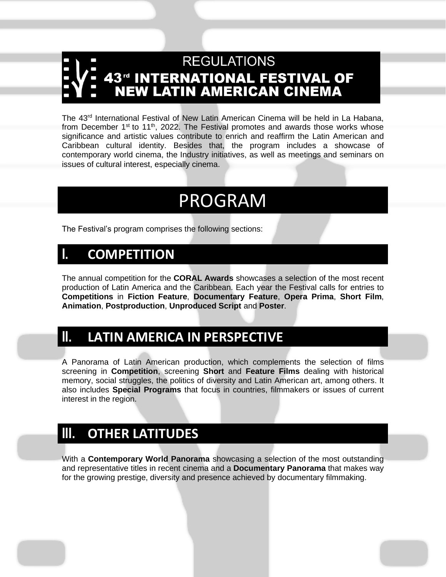# **REGULATIONS 43<sup>rd</sup> INTERNATIONAL FESTIVAL OF<br>NEW LATIN AMERICAN CINEMA**

The 43<sup>rd</sup> International Festival of New Latin American Cinema will be held in La Habana, from December  $1<sup>st</sup>$  to  $11<sup>th</sup>$ , 2022. The Festival promotes and awards those works whose significance and artistic values contribute to enrich and reaffirm the Latin American and Caribbean cultural identity. Besides that, the program includes a showcase of contemporary world cinema, the Industry initiatives, as well as meetings and seminars on issues of cultural interest, especially cinema.

## PROGRAM

The Festival's program comprises the following sections:

### **I. COMPETITION**

The annual competition for the **CORAL Awards** showcases a selection of the most recent production of Latin America and the Caribbean. Each year the Festival calls for entries to **Competitions** in **Fiction Feature**, **Documentary Feature**, **Opera Prima**, **Short Film**, **Animation**, **Postproduction**, **Unproduced Script** and **Poster**.

### **II. LATIN AMERICA IN PERSPECTIVE**

A Panorama of Latin American production, which complements the selection of films screening in **Competition**, screening **Short** and **Feature Films** dealing with historical memory, social struggles, the politics of diversity and Latin American art, among others. It also includes **Special Programs** that focus in countries, filmmakers or issues of current interest in the region.

### **III. OTHER LATITUDES**

With a **Contemporary World Panorama** showcasing a selection of the most outstanding and representative titles in recent cinema and a **Documentary Panorama** that makes way for the growing prestige, diversity and presence achieved by documentary filmmaking.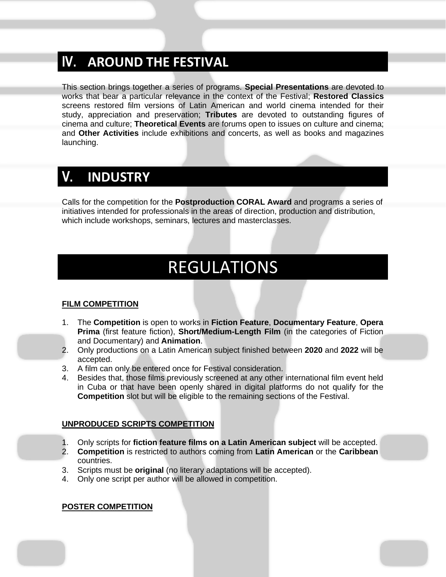### **IV. AROUND THE FESTIVAL**

This section brings together a series of programs. **Special Presentations** are devoted to works that bear a particular relevance in the context of the Festival; **Restored Classics** screens restored film versions of Latin American and world cinema intended for their study, appreciation and preservation; **Tributes** are devoted to outstanding figures of cinema and culture; **Theoretical Events** are forums open to issues on culture and cinema; and **Other Activities** include exhibitions and concerts, as well as books and magazines launching.

### **V. INDUSTRY**

Calls for the competition for the **Postproduction CORAL Award** and programs a series of initiatives intended for professionals in the areas of direction, production and distribution, which include workshops, seminars, lectures and masterclasses.

## REGULATIONS

#### **FILM COMPETITION**

- 1. The **Competition** is open to works in **Fiction Feature**, **Documentary Feature**, **Opera Prima** (first feature fiction), **Short/Medium-Length Film** (in the categories of Fiction and Documentary) and **Animation**.
- 2. Only productions on a Latin American subject finished between **2020** and **2022** will be accepted.
- 3. A film can only be entered once for Festival consideration.
- 4. Besides that, those films previously screened at any other international film event held in Cuba or that have been openly shared in digital platforms do not qualify for the **Competition** slot but will be eligible to the remaining sections of the Festival.

#### **UNPRODUCED SCRIPTS COMPETITION**

- 1. Only scripts for **fiction feature films on a Latin American subject** will be accepted.
- 2. **Competition** is restricted to authors coming from **Latin American** or the **Caribbean** countries.
- 3. Scripts must be **original** (no literary adaptations will be accepted).
- 4. Only one script per author will be allowed in competition.

#### **POSTER COMPETITION**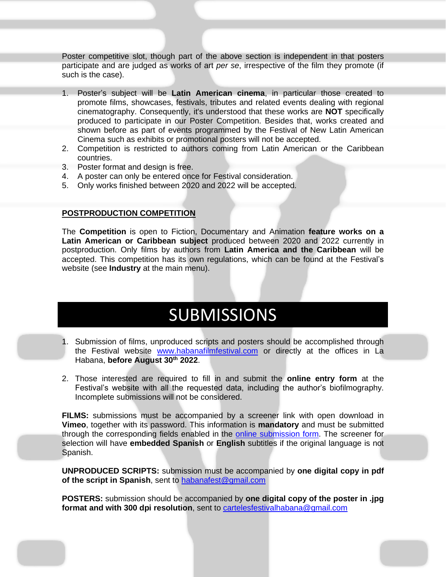Poster competitive slot, though part of the above section is independent in that posters participate and are judged as works of art *per se*, irrespective of the film they promote (if such is the case).

- 1. Poster's subject will be **Latin American cinema**, in particular those created to promote films, showcases, festivals, tributes and related events dealing with regional cinematography. Consequently, it's understood that these works are **NOT** specifically produced to participate in our Poster Competition. Besides that, works created and shown before as part of events programmed by the Festival of New Latin American Cinema such as exhibits or promotional posters will not be accepted.
- 2. Competition is restricted to authors coming from Latin American or the Caribbean countries.
- 3. Poster format and design is free.
- 4. A poster can only be entered once for Festival consideration.
- 5. Only works finished between 2020 and 2022 will be accepted.

#### **POSTPRODUCTION COMPETITION**

The **Competition** is open to Fiction, Documentary and Animation **feature works on a Latin American or Caribbean subject** produced between 2020 and 2022 currently in postproduction. Only films by authors from **Latin America and the Caribbean** will be accepted. This competition has its own regulations, which can be found at the Festival's website (see **Industry** at the main menu).

## **SUBMISSIONS**

- 1. Submission of films, unproduced scripts and posters should be accomplished through the Festival website [www.habanafilmfestival.com](http://www.habanafilmfestival.com/) or directly at the offices in La Habana, **before August 30th 2022**.
- 2. Those interested are required to fill in and submit the **online entry form** at the Festival's website with all the requested data, including the author's biofilmography. Incomplete submissions will not be considered.

**FILMS:** submissions must be accompanied by a screener link with open download in **Vimeo**, together with its password. This information is **mandatory** and must be submitted through the corresponding fields enabled in the [online submission form.](http://habanafilmfestival.com/registro/public/) The screener for selection will have **embedded Spanish** or **English** subtitles if the original language is not Spanish.

**UNPRODUCED SCRIPTS:** submission must be accompanied by **one digital copy in pdf of the script in Spanish**, sent to [habanafest@gmail.com](mailto:habanafest@gmail.com)

**POSTERS:** submission should be accompanied by **one digital copy of the poster in .jpg format and with 300 dpi resolution**, sent to [cartelesfestivalhabana@gmail.com](mailto:cartelesfestivalhabana@gmail.com)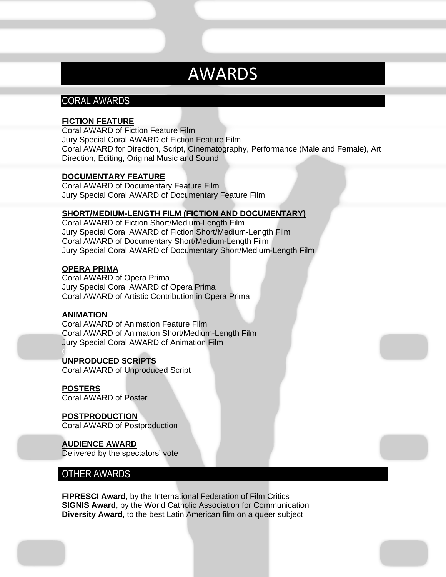### AWARDS

#### CORAL AWARDS

#### **FICTION FEATURE**

Coral AWARD of Fiction Feature Film Jury Special Coral AWARD of Fiction Feature Film Coral AWARD for Direction, Script, Cinematography, Performance (Male and Female), Art Direction, Editing, Original Music and Sound

#### **DOCUMENTARY FEATURE**

Coral AWARD of Documentary Feature Film Jury Special Coral AWARD of Documentary Feature Film

#### **SHORT/MEDIUM-LENGTH FILM (FICTION AND DOCUMENTARY)**

Coral AWARD of Fiction Short/Medium-Length Film Jury Special Coral AWARD of Fiction Short/Medium-Length Film Coral AWARD of Documentary Short/Medium-Length Film Jury Special Coral AWARD of Documentary Short/Medium-Length Film

#### **OPERA PRIMA**

Coral AWARD of Opera Prima Jury Special Coral AWARD of Opera Prima Coral AWARD of Artistic Contribution in Opera Prima

#### **ANIMATION**

Coral AWARD of Animation Feature Film Coral AWARD of Animation Short/Medium-Length Film Jury Special Coral AWARD of Animation Film

#### GUION INÉDICT **UNPRODUCED SCRIPTS**

Coral AWARD of Unproduced Script

#### **POSTERS**

Coral AWARD of Poster

#### **POSTPRODUCTION**

Coral AWARD of Postproduction

#### **AUDIENCE AWARD**

Delivered by the spectators' vote

#### OTHER AWARDS

**FIPRESCI Award**, by the International Federation of Film Critics **SIGNIS Award**, by the World Catholic Association for Communication **Diversity Award**, to the best Latin American film on a queer subject